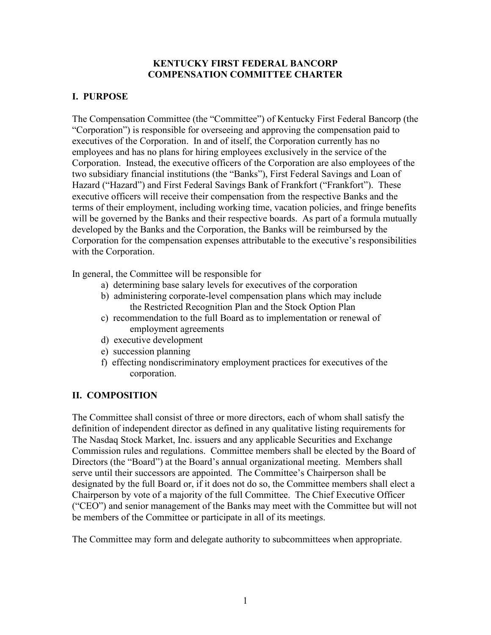### **KENTUCKY FIRST FEDERAL BANCORP COMPENSATION COMMITTEE CHARTER**

# **I. PURPOSE**

The Compensation Committee (the "Committee") of Kentucky First Federal Bancorp (the "Corporation") is responsible for overseeing and approving the compensation paid to executives of the Corporation. In and of itself, the Corporation currently has no employees and has no plans for hiring employees exclusively in the service of the Corporation. Instead, the executive officers of the Corporation are also employees of the two subsidiary financial institutions (the "Banks"), First Federal Savings and Loan of Hazard ("Hazard") and First Federal Savings Bank of Frankfort ("Frankfort"). These executive officers will receive their compensation from the respective Banks and the terms of their employment, including working time, vacation policies, and fringe benefits will be governed by the Banks and their respective boards. As part of a formula mutually developed by the Banks and the Corporation, the Banks will be reimbursed by the Corporation for the compensation expenses attributable to the executive's responsibilities with the Corporation.

In general, the Committee will be responsible for

- a) determining base salary levels for executives of the corporation
- b) administering corporate-level compensation plans which may include the Restricted Recognition Plan and the Stock Option Plan
- c) recommendation to the full Board as to implementation or renewal of employment agreements
- d) executive development
- e) succession planning
- f) effecting nondiscriminatory employment practices for executives of the corporation.

## **II. COMPOSITION**

The Committee shall consist of three or more directors, each of whom shall satisfy the definition of independent director as defined in any qualitative listing requirements for The Nasdaq Stock Market, Inc. issuers and any applicable Securities and Exchange Commission rules and regulations. Committee members shall be elected by the Board of Directors (the "Board") at the Board's annual organizational meeting. Members shall serve until their successors are appointed. The Committee's Chairperson shall be designated by the full Board or, if it does not do so, the Committee members shall elect a Chairperson by vote of a majority of the full Committee. The Chief Executive Officer ("CEO") and senior management of the Banks may meet with the Committee but will not be members of the Committee or participate in all of its meetings.

The Committee may form and delegate authority to subcommittees when appropriate.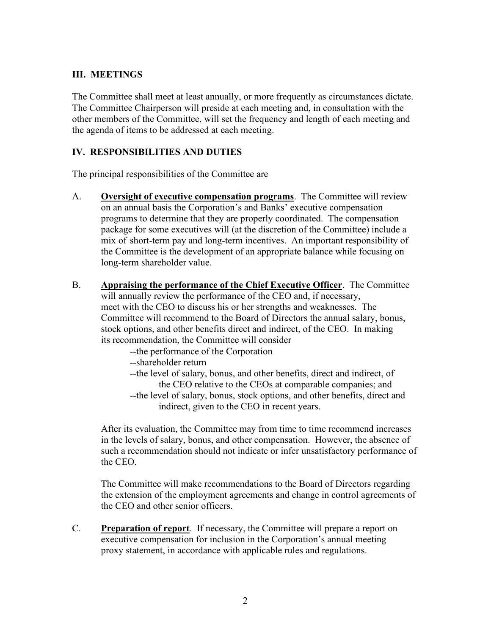### **III. MEETINGS**

The Committee shall meet at least annually, or more frequently as circumstances dictate. The Committee Chairperson will preside at each meeting and, in consultation with the other members of the Committee, will set the frequency and length of each meeting and the agenda of items to be addressed at each meeting.

### **IV. RESPONSIBILITIES AND DUTIES**

The principal responsibilities of the Committee are

- A. **Oversight of executive compensation programs**. The Committee will review on an annual basis the Corporation's and Banks' executive compensation programs to determine that they are properly coordinated. The compensation package for some executives will (at the discretion of the Committee) include a mix of short-term pay and long-term incentives. An important responsibility of the Committee is the development of an appropriate balance while focusing on long-term shareholder value.
- B. **Appraising the performance of the Chief Executive Officer**. The Committee will annually review the performance of the CEO and, if necessary, meet with the CEO to discuss his or her strengths and weaknesses. The Committee will recommend to the Board of Directors the annual salary, bonus, stock options, and other benefits direct and indirect, of the CEO. In making its recommendation, the Committee will consider
	- --the performance of the Corporation
	- --shareholder return
	- --the level of salary, bonus, and other benefits, direct and indirect, of the CEO relative to the CEOs at comparable companies; and
	- --the level of salary, bonus, stock options, and other benefits, direct and indirect, given to the CEO in recent years.

After its evaluation, the Committee may from time to time recommend increases in the levels of salary, bonus, and other compensation. However, the absence of such a recommendation should not indicate or infer unsatisfactory performance of the CEO.

The Committee will make recommendations to the Board of Directors regarding the extension of the employment agreements and change in control agreements of the CEO and other senior officers.

C. **Preparation of report**. If necessary, the Committee will prepare a report on executive compensation for inclusion in the Corporation's annual meeting proxy statement, in accordance with applicable rules and regulations.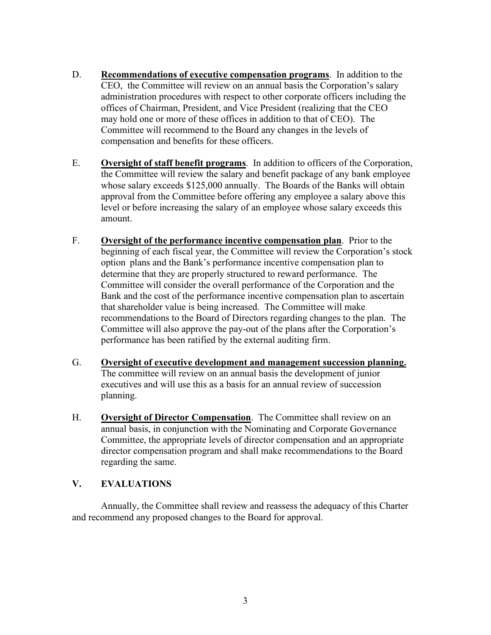- D. **Recommendations of executive compensation programs**. In addition to the CEO, the Committee will review on an annual basis the Corporation's salary administration procedures with respect to other corporate officers including the offices of Chairman, President, and Vice President (realizing that the CEO may hold one or more of these offices in addition to that of CEO). The Committee will recommend to the Board any changes in the levels of compensation and benefits for these officers.
- E. **Oversight of staff benefit programs**. In addition to officers of the Corporation, the Committee will review the salary and benefit package of any bank employee whose salary exceeds \$125,000 annually. The Boards of the Banks will obtain approval from the Committee before offering any employee a salary above this level or before increasing the salary of an employee whose salary exceeds this amount.
- F. **Oversight of the performance incentive compensation plan**. Prior to the beginning of each fiscal year, the Committee will review the Corporation's stock option plans and the Bank's performance incentive compensation plan to determine that they are properly structured to reward performance. The Committee will consider the overall performance of the Corporation and the Bank and the cost of the performance incentive compensation plan to ascertain that shareholder value is being increased. The Committee will make recommendations to the Board of Directors regarding changes to the plan. The Committee will also approve the pay-out of the plans after the Corporation's performance has been ratified by the external auditing firm.
- G. **Oversight of executive development and management succession planning.** The committee will review on an annual basis the development of junior executives and will use this as a basis for an annual review of succession planning.
- H. **Oversight of Director Compensation**. The Committee shall review on an annual basis, in conjunction with the Nominating and Corporate Governance Committee, the appropriate levels of director compensation and an appropriate director compensation program and shall make recommendations to the Board regarding the same.

## **V. EVALUATIONS**

Annually, the Committee shall review and reassess the adequacy of this Charter and recommend any proposed changes to the Board for approval.